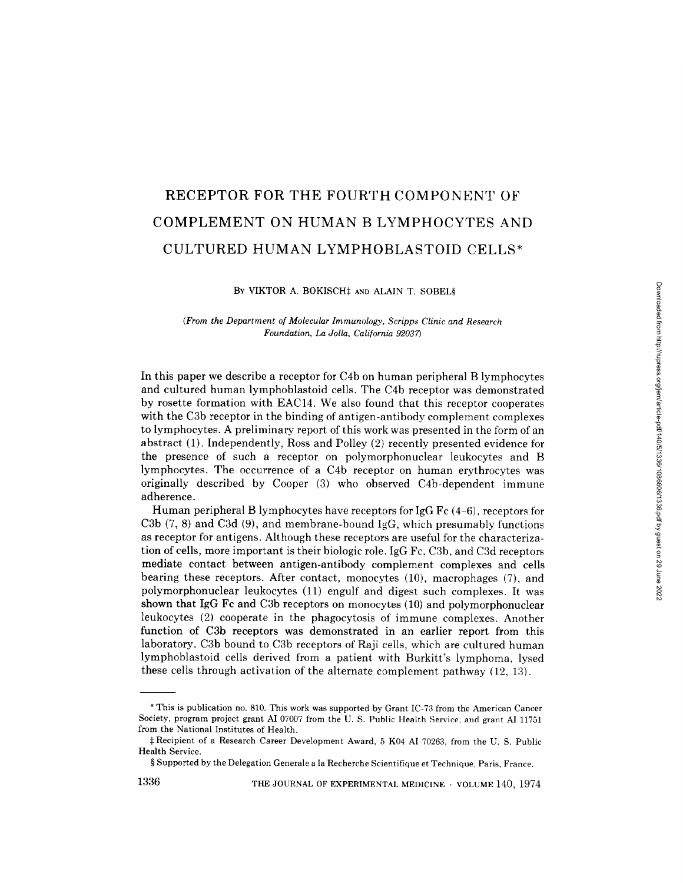# RECEPTOR FOR THE FOURTH COMPONENT OF COMPLEMENT ON HUMAN B LYMPHOCYTES AND CULTURED HUMAN LYMPHOBLASTOID CELLS\*

BY VIKTOR A. BOKISCH<sup>#</sup> AND ALAIN T. SOBEL§

*(From the Department of Molecular Immunology, Scripps Clinic and Research Foundation, La Jolla, California 92037)* 

In this paper we describe a receptor for C4b on human peripheral B lymphocytes and cultured human lymphoblastoid cells. The C4b receptor was demonstrated by rosette formation with EAC14. We also found that this receptor cooperates with the C3b receptor in the binding of antigen-antibody complement complexes to lymphocytes. A preliminary report of this work was presented in the form of an abstract (1). Independently, Ross and Polley (2) recently presented evidence for the presence of such a receptor on polymorphonuclear leukocytes and B lymphocytes. The occurrence of a C4b receptor on human erythrocytes was originally described by Cooper (3) who observed C4b-dependent immune adherence.

Human peripheral B lymphocytes have receptors for IgG Fc  $(4-6)$ , receptors for C3b (7, 8) and C3d (9), and membrane-bound IgG, which presumably functions as receptor for antigens. Although these receptors are useful for the characterization of cells, more important is their biologic role. IgG Fc, C3b, and C3d receptors mediate contact between antigen-antibody complement complexes and cells bearing these receptors. After contact, monocytes (10), macrophages (7), and polymorphonuclear leukocytes (11) engulf and digest such complexes. It was shown that IgG Fc and C3b receptors on monocytes (10) and polymorphonuclear leukocytes (2) cooperate in the phagocytosis of immune complexes. Another function of C3b receptors was demonstrated in an earlier report from this laboratory. C3b bound to C3b receptors of Raji cells, which are cultured human lymphoblastoid cells derived from a patient with Burkitt's lymphoma, lysed these cells through activation of the alternate complement pathway (12, 13).

1336 THE JOURNAL OF EXPERIMENTAL MEDICINE · VOLUME 140, 1974

<sup>\*</sup> This is publication no. 810. This work was supported by Grant IC-73 from the American Cancer Society, program project grant AI 07007 from the U. S. Public Health Service, and grant AI 11751 from the National Institutes of Health.

Recipient of a Research Career Development Award, 5 K04 AI 70263, from the U. S. Public Health Service.

<sup>§</sup> Supported by the Delegation Generale a la Recherche Scientifique et Technique, Paris, France.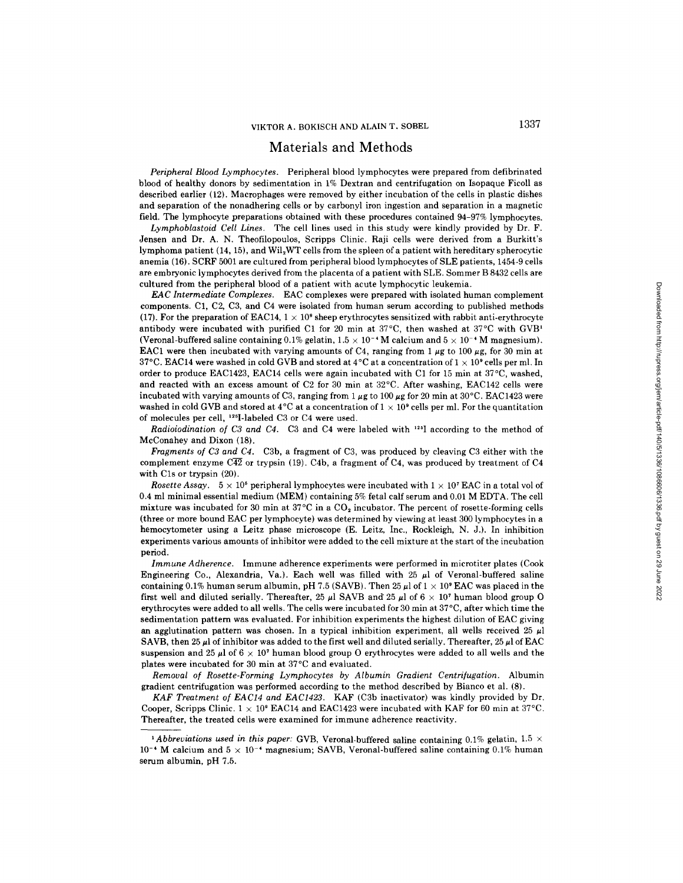## Materials and Methods

*Peripheral Blood Lymphocytes.* Peripheral blood lymphocytes were prepared from defibrinated blood of healthy donors by sedimentation in 1% Dextran and centrifugation on Isopaque Ficoll as described earlier (12). Macrophages were removed by either incubation of the cells in plastic dishes and separation of the nonadhering cells or by carbonyl iron ingestion and separation in a magnetic field. The lymphocyte preparations obtained with these procedures contained 94-97% lymphocytes.

*Lymphoblastoid Cell Lines.* The cell lines used in this study were kindly provided by Dr. F. Jensen and Dr. A. N. Theofilopoulos, Scripps Clinic. Raji cells were derived from a Burkitt's lymphoma patient (14, 15), and Wil2WT cells from the spleen of a patient with hereditary spherocytic anemia (16). SCRF 5001 are cultured from peripheral blood lymphocytes of SLE patients, 1454-9 cells are embryonic lymphocytes derived from the placenta of a patient with SLE. Sommer B 8432 cells are cultured from the peripheral blood of a patient with acute lymphocytic leukemia.

*EAC Intermediate Complexes.* EAC complexes were prepared with isolated human complement components. C1, C2, C3, and C4 were isolated from human serum according to published methods (17). For the preparation of EAC14,  $1 \times 10^9$  sheep erythrocytes sensitized with rabbit anti-erythrocyte antibody were incubated with purified C1 for 20 min at  $37^{\circ}$ C, then washed at  $37^{\circ}$ C with GVB<sup>1</sup> (Veronal-buffered saline containing 0.1% gelatin,  $1.5 \times 10^{-4}$  M calcium and  $5 \times 10^{-4}$  M magnesium). EAC1 were then incubated with varying amounts of C4, ranging from 1  $\mu$ g to 100  $\mu$ g, for 30 min at 37°C. EAC14 were washed in cold GVB and stored at 4°C at a concentration of  $1 \times 10^9$  cells per ml. In order to produce EAC1423, EAC14 cells were again incubated with C1 for 15 min at 37°C, washed, and reacted with an excess amount of C2 for 30 min at  $32^{\circ}$ C. After washing, EAC142 cells were incubated with varying amounts of C3, ranging from  $1 \mu$ g to 100  $\mu$ g for 20 min at 30°C. EAC1423 were washed in cold GVB and stored at 4<sup>o</sup>C at a concentration of  $1 \times 10^9$  cells per ml. For the quantitation of molecules per cell, <sup>125</sup>I-labeled C3 or C4 were used.

*Radioiodination of C3 and C4.* C3 and C4 were labeled with <sup>125</sup>I according to the method of McConahey and Dixon (18).

*Fragments of C3 and C4.* C3b, a fragment of C3, was produced by cleaving C3 either with the complement enzyme  $\overline{C42}$  or trypsin (19). C4b, a fragment of C4, was produced by treatment of C4 with Cls or trypsin (20).

*Rosette Assay.*  $5 \times 10^5$  peripheral lymphocytes were incubated with  $1 \times 10^7$  EAC in a total vol of 0.4 ml minimal essential medium (MEM) containing 5% fetal calf serum and 0.01 M EDTA. The cell mixture was incubated for 30 min at  $37^{\circ}$ C in a  $CO_2$  incubator. The percent of rosette-forming cells (three or more bound EAC per lymphocyte) was determined by viewing at least 300 lymphocytes in a hemocytometer using a Leitz phase microscope (E. Leitz, Inc., Rockleigh, N. J.). In inhibition experiments various amounts of inhibitor were added to the cell mixture at the start of the incubation period.

*Immune Adherence.* Immune adherence experiments were performed in microtiter plates (Cook Engineering Co., Alexandria, Va.). Each well was filled with  $25 \mu l$  of Veronal-buffered saline containing 0.1% human serum albumin, pH 7.5 (SAVB). Then 25  $\mu$ l of  $1 \times 10^9$  EAC was placed in the first well and diluted serially. Thereafter, 25  $\mu$ l SAVB and 25  $\mu$ l of 6  $\times$  10<sup>7</sup> human blood group O erythrocytes were added to all wells. The cells were incubated for 30 min at 37 °C, after which time the sedimentation pattern was evaluated. For inhibition experiments the highest dilution of EAC giving an agglutination pattern was chosen. In a typical inhibition experiment, all wells received 25  $\mu$ l SAVB, then 25  $\mu$  of inhibitor was added to the first well and diluted serially. Thereafter, 25  $\mu$  of EAC suspension and 25  $\mu$ l of 6  $\times$  10<sup>7</sup> human blood group O erythrocytes were added to all wells and the plates were incubated for 30 min at 37°C and evaluated.

*Removal of Rosette-Forming Lymphocytes by Albumin Gradient Centri[ugation.* Albumin gradient centrifugation was performed according to the method described by Bianco et al. (8).

*KAF Treatment of EAC14 and EAC1423.* KAF (C3b inactivator) was kindly provided by Dr. Cooper, Scripps Clinic.  $1 \times 10^9$  EAC14 and EAC1423 were incubated with KAF for 60 min at 37°C. Thereafter, the treated cells were examined for immune adherence reactivity.

<sup>&</sup>lt;sup>1</sup> Abbreviations used in this paper: GVB, Veronal-buffered saline containing 0.1% gelatin, 1.5  $\times$ 10<sup>-4</sup> M calcium and  $5 \times 10^{-4}$  magnesium; SAVB, Veronal-buffered saline containing 0.1% human serum albumin, pH 7.5.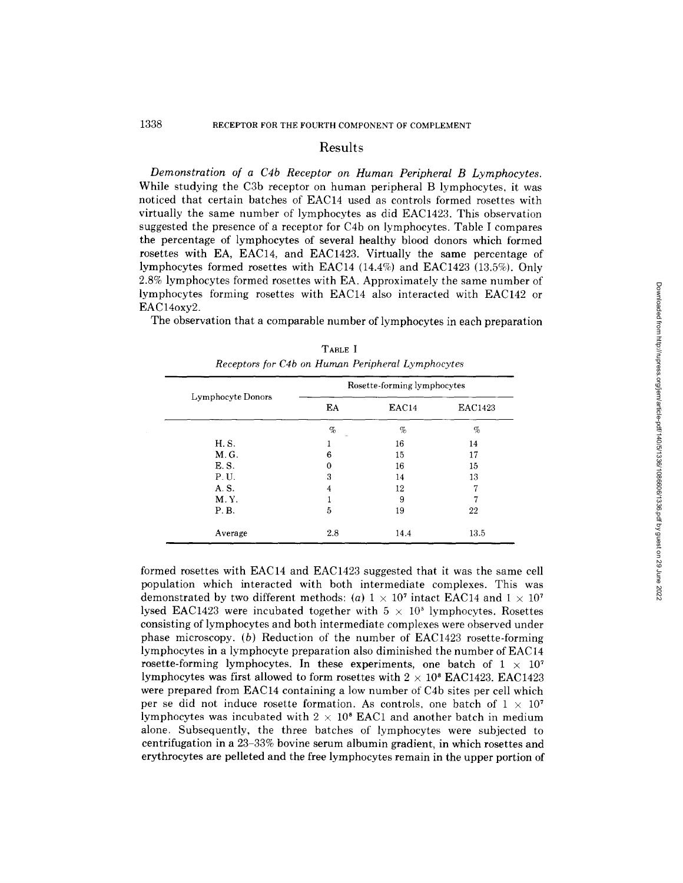#### **Results**

*Demonstration of a C4b Receptor on Human Peripheral B Lymphocytes.*  While studying the C3b receptor on human peripheral B lymphocytes, it was noticed that certain batches of EAC14 used as controls formed rosettes with virtually the same number of lymphocytes as did EAC1423. This observation suggested the presence of a receptor for C4b on lymphocytes. Table I compares the percentage of lymphocytes of several healthy blood donors which formed rosettes with EA, EAC14, and EAC1423. Virtually the same percentage of lymphocytes formed rosettes with EAC14 (14.4%) and EAC1423 (13.5%). Only 2.8% lymphocytes formed rosettes with EA. Approximately the same number of lymphocytes forming rosettes with EAC14 also interacted with EAC142 or EAC14oxv2.

The observation that a comparable number of lymphocytes in each preparation

|                   | Rosette-forming lymphocytes |       |                |  |
|-------------------|-----------------------------|-------|----------------|--|
| Lymphocyte Donors | EA                          | EAC14 | <b>EAC1423</b> |  |
|                   | $\%$<br>$\overline{a}$      | %     | %              |  |
| H. S.             |                             | 16    | 14             |  |
| M.G.              | 6                           | 15    | 17             |  |
| E.S.              | 0                           | 16    | 15             |  |
| P.U.              | 3                           | 14    | 13             |  |
| A.S.              | 4                           | 12    | 7              |  |
| M.Y.              |                             | 9     | 7              |  |
| P.B.              | 5                           | 19    | 22             |  |
| Average           | 2.8                         | 14.4  | 13.5           |  |

|  |  | TABLE I |                                                   |
|--|--|---------|---------------------------------------------------|
|  |  |         | Receptors for C4b on Human Peripheral Lymphocytes |

formed rosettes with EAC14 and EAC1423 suggested that it was the same cell population which interacted with both intermediate complexes. This was demonstrated by two different methods: (a)  $1 \times 10^7$  intact EAC14 and  $1 \times 10^7$ lysed EAC1423 were incubated together with  $5 \times 10^5$  lymphocytes. Rosettes consisting of lymphocytes and both intermediate complexes were observed under phase microscopy. (b) Reduction of the number of EAC1423 rosette-forming lymphocytes in a lymphocyte preparation also diminished the number of EAC 14 rosette-forming lymphocytes. In these experiments, one batch of  $1 \times 10^7$ lymphocytes was first allowed to form rosettes with  $2 \times 10^8$  EAC1423. EAC1423 were prepared from EAC14 containing a low number of C4b sites per cell which per se did not induce rosette formation. As controls, one batch of  $1 \times 10^{7}$ lymphocytes was incubated with  $2 \times 10^8$  EAC1 and another batch in medium alone. Subsequently, the three batches of lymphocytes were subjected to centrifugation in a 23-33% bovine serum albumin gradient, in which rosettes and erythrocytes are pelleted and the free lymphocytes remain in the upper portion of Downloaded from http://rupress.org/jem/article-pdf/140/5/1336/108606/1336.pdf by guest on 29 June 2022 Downloaded from http://rupress.org/jem/article-pdf/140/5/1336/1086606/1336.pdf by guest on 29 June 2022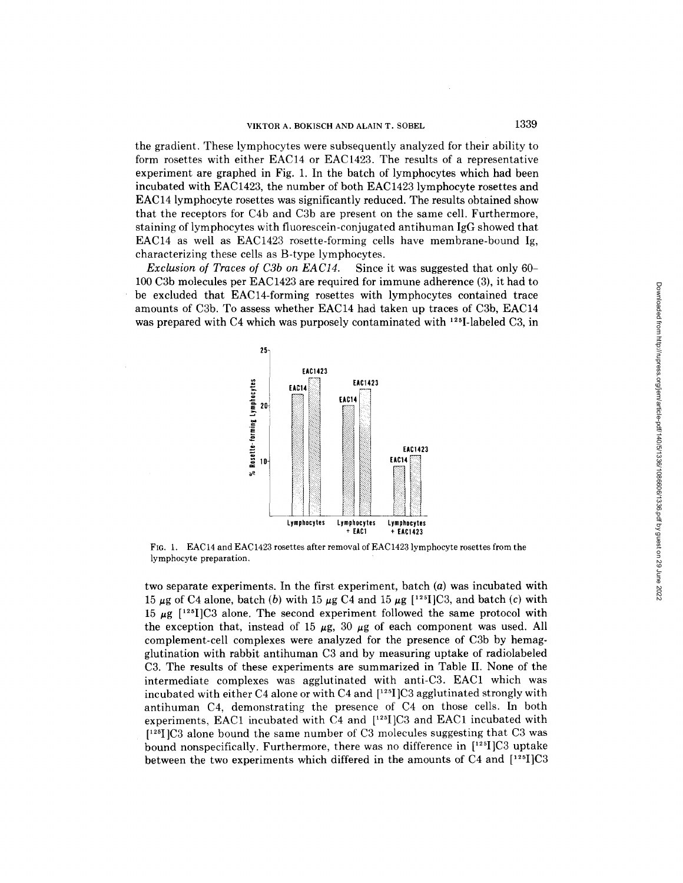the gradient. These lymphocytes were subsequently analyzed for their ability to form rosettes with either EAC14 or EAC1423. The results of a representative experiment are graphed in Fig. 1. In the batch of lymphocytes which had been incubated with EAC1423, the number of both EAC1423 lymphocyte rosettes and EAC14 lymphocyte rosettes was significantly reduced. The results obtained show that the receptors for C4b and C3b are present on the same cell. Furthermore, staining of lymphocytes with fluorescein-conjugated antihuman IgG showed that EAC14 as well as EAC1423 rosette-forming cells have membrane-bound Ig, characterizing these cells as B-type lymphocytes.

*Exclusion of Traces of C3b on EAC14.* Since it was suggested that only 60- 100 C3b molecules per EAC1423 are required for immune adherence (3), it had to be excluded that EAC14-forming rosettes with lymphocytes contained trace amounts of C3b. To assess whether EAC14 had taken up traces of C3b, EAC14 was prepared with C4 which was purposely contaminated with  $^{125}$ -labeled C3, in



FIG. 1. EAC14 and EAC1423 rosettes after removal of EAC1423 lymphocyte rosettes from the lymphocyte preparation,

two separate experiments. In the first experiment, batch (a) was incubated with 15  $\mu$ g of C4 alone, batch (b) with 15  $\mu$ g C4 and 15  $\mu$ g [<sup>125</sup>]C3, and batch (c) with 15  $\mu$ g [<sup>125</sup>I]C3 alone. The second experiment followed the same protocol with the exception that, instead of 15  $\mu$ g, 30  $\mu$ g of each component was used. All complement-cell complexes were analyzed for the presence of C3b by hemagglutination with rabbit antihuman C3 and by measuring uptake of radiolabeled C3. The results of these experiments are summarized in Table II. None of the intermediate complexes was agglutinated with anti-C3. EAC1 which was incubated with either C4 alone or with C4 and  $[^{125}]$ C3 agglutinated strongly with antihuman C4, demonstrating the presence of C4 on those cells. In both experiments, EAC1 incubated with C4 and  $[^{125}][C3$  and EAC1 incubated with [125I]C3 alone bound the same number of C3 molecules suggesting that C3 was bound nonspecifically. Furthermore, there was no difference in  $[^{125}]C3$  uptake between the two experiments which differed in the amounts of C4 and [125I]C3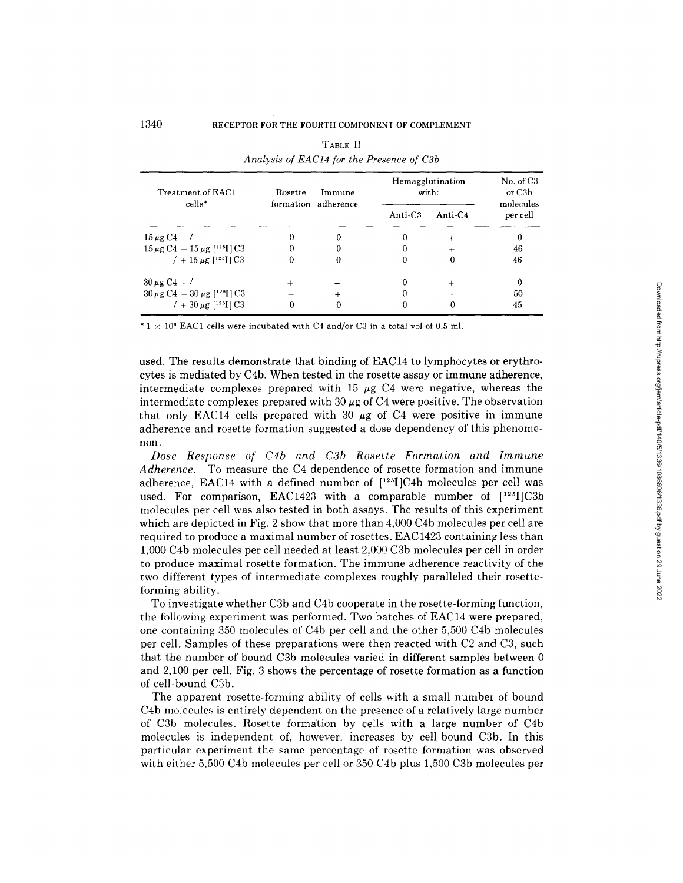| Treatment of EAC1<br>cells*                                     | Rosette | Immune<br>formation adherence | Hemagglutination<br>with: | No. of C <sub>3</sub><br>or C <sub>3</sub> b<br>molecules |          |
|-----------------------------------------------------------------|---------|-------------------------------|---------------------------|-----------------------------------------------------------|----------|
|                                                                 |         |                               | Anti-C <sub>3</sub>       | Anti- $C4$                                                | per cell |
| $15 \,\mu g \,\mathrm{C}4 + /$                                  |         | $\Omega$                      |                           | ÷                                                         | 0        |
| $15 \,\mu g \,\mathrm{C}4 + 15 \,\mu g$ [ <sup>125</sup> ] [C3] |         | 0                             |                           |                                                           | 46       |
| $/ + 15 \mu g$ [ <sup>125</sup> ] C <sub>3</sub>                | 0       | $\mathbf{0}$                  |                           | 0                                                         | 46       |
| $30 \mu g C4 + /$                                               |         | $+$                           |                           | $\ddot{}$                                                 | 0        |
| $30 \mu$ g C4 + 30 $\mu$ g [ <sup>125</sup> I] C3               |         | $^{+}$                        |                           |                                                           | 50       |
| / + 30 $\mu$ g [ <sup>125</sup> I] C3                           | 0       | 0                             |                           |                                                           | 45       |

| TABLE II                                  |  |
|-------------------------------------------|--|
| Analysis of EAC14 for the Presence of C3b |  |

\*  $1 \times 10^8$  EAC1 cells were incubated with C4 and/or C3 in a total vol of 0.5 ml.

used. The results demonstrate that binding of EAC14 to lymphocytes or erythrocytes is mediated by C4b. When tested in the rosette assay or immune adherence, intermediate complexes prepared with 15  $\mu$ g C4 were negative, whereas the intermediate complexes prepared with  $30 \mu$ g of C4 were positive. The observation that only EAC14 cells prepared with 30  $\mu$ g of C4 were positive in immune adherence and rosette formation suggested a dose dependency of this phenomenon.

*Dose Response of C4b and C3b Rosette Formation and Immune Adherence.* To measure the C4 dependence of rosette formation and immune adherence, EAC14 with a defined number of  $[1^{25}]$ C4b molecules per cell was used. For comparison, EAC1423 with a comparable number of [125]]C3b molecules per cell was also tested in both assays. The results of this experiment which are depicted in Fig. 2 show that more than 4,000 C4b molecules per cell are required to produce a maximal number of rosettes. EAC1423 containing less than 1,000 C4b molecules per cell needed at least 2,000 C3b molecules per cell in order to produce maximal rosette formation. The immune adherence reactivity of the two different types of intermediate complexes roughly paralleled their rosetteforming ability.

To investigate whether C3b and C4b cooperate in the rosette-forming function, the following experiment was performed. Two batches of EAC14 were prepared, one containing 350 molecules of C4b per cell and the other 5,500 C4b molecules per cell. Samples of these preparations were then reacted with C2 and C3, such that the number of bound C3b molecules varied in different samples between 0 and 2,100 per cell. Fig. 3 shows the percentage of rosette formation as a function of cell-bound C3b.

The apparent rosette-forming ability of cells with a small number of bound C4b molecules is entirely dependent on the presence of a relatively large number of C3b molecules. Rosette formation by cells with a large number of C4b molecules is independent of, however, increases by cell-bound C3b. In this particular experiment the same percentage of rosette formation was observed with either 5,500 C4b molecules per cell or 350 C4b plus 1,500 C3b molecules per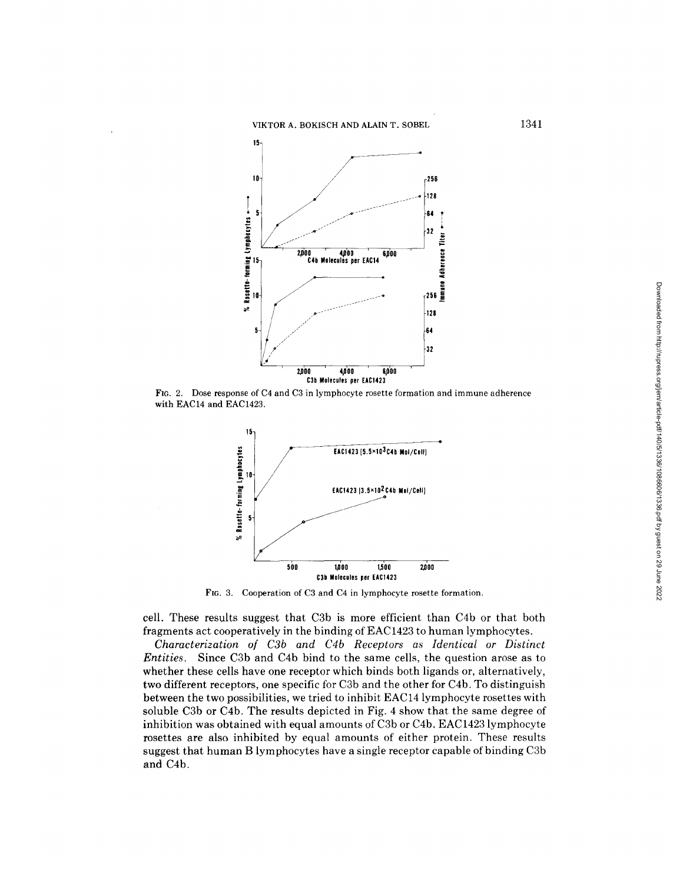VIKTOR A. BOKISCH AND ALAIN T. SOBEL



FIG. 2. Dose response of C4 and C3 in lymphocyte rosette formation and immune adherence with EAC14 and EAC1423.



FIG. 3. Cooperation of C3 and C4 in lymphocyte rosette formation.

cell. These results suggest that C3b is more efficient than C4b or that both fragments act cooperatively in the binding of EAC 1423 to human lymphocytes.

*Characterization of C3b and C4b Receptors as Identical or Distinct Entities.* Since C3b and C4b bind to the same cells, the question arose as to whether these cells have one receptor which binds both ligands or, alternatively, two different receptors, one specific for C3b and the other for C4b. To distinguish between the two possibilities, we tried to inhibit EAC14 lymphocyte rosettes with soluble C3b or C4b. The results depicted in Fig. 4 show that the same degree of inhibition was obtained with equal amounts of C3b or C4b. EAC1423 lymphocyte rosettes are also inhibited by equal amounts of either protein. These results suggest that human B lymphocytes have a single receptor capable of binding C3b and C4b.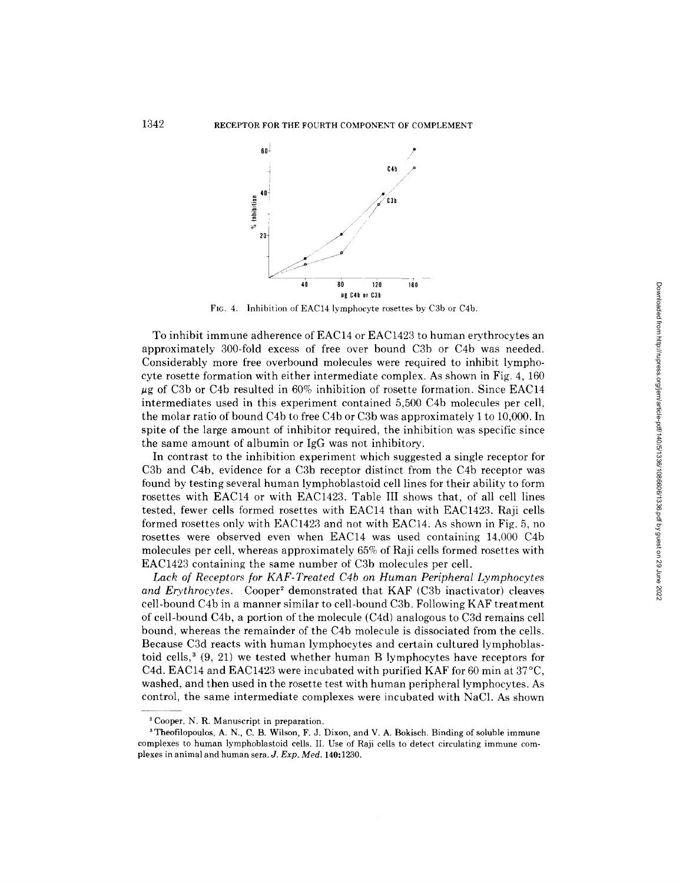

FIG. 4. Inhibition of EAC14 lymphocyte rosettes by C3b or C4b.

To inhibit immune adherence of  $EAC14$  or  $EAC1423$  to human erythrocytes an approximately 300-fold excess of free over bound C3b or C4b was needed. Considerably more free overbound molecules were required to inhibit lymphocyte rosette formation with either intermediate complex. As shown in Fig. 4, 160  $\mu$ g of C3b or C4b resulted in 60% inhibition of rosette formation. Since EAC14 intermediates used in this experiment contained 5,500 C4b molecules per cell, the molar ratio of bound C4b to free C4b or C3b was approximately 1 to 10,000. In spite of the large amount of inhibitor required, the inhibition was specific since the same amount of albumin or IgG was not inhibitory.

In contrast to the inhibition experiment which suggested a single receptor for C3b and C4b, evidence for a C3b receptor distinct from the C4b receptor was found by testing several human lymphoblastoid cell lines for their ability to form rosettes with EAC14 or with EAC1423. Table III shows that, of all cell lines tested, fewer cells formed rosettes with EAC14 than with EAC1423. Raji cells formed rosettes only with EAC1423 and not with EAC14. As shown in Fig. 5, no rosettes were observed even when EAC14 was used containing 14,000 C4b molecules per cell, whereas approximately 65% of Raji cells formed rosettes with EAC1423 containing the same number of C3b molecules per cell.

Lack of Receptors for KAF-Treated C4b on Human Peripheral Lymphocytes *and Erythrocytes.* Cooper<sup>2</sup> demonstrated that KAF (C3b inactivator) cleaves cell-bound C4b in a manner similar to cell-bound C3b. Following KAF treatment of cell-bound C4b, a portion of the molecule (C4d) analogous to C3d remains cell bound, whereas the remainder of the C4b molecule is dissociated from the cells. Because C3d reacts with human lymphocytes and certain cultured lymphoblastoid cells,<sup>3</sup>  $(9, 21)$  we tested whether human B lymphocytes have receptors for C4d. EAC14 and EAC1423 were incubated with purified KAF for 60 min at  $37^{\circ}$ C, washed, and then used in the rosette test with human peripheral lymphocytes. As control, the same intermediate complexes were incubated with NaC1. As shown

<sup>2</sup> Cooper, N. R. Manuscript in preparation.

<sup>3</sup> Theofilopoulos, A. N., C. B. Wilson, F. J. Dixon, and V. A. Bokisch. Binding of soluble immune complexes to human lymphoblastoid cells. II. Use of Raji cells to detect circulating immune complexes in animal and human sera. *J. Exp. Med.* 140:1230.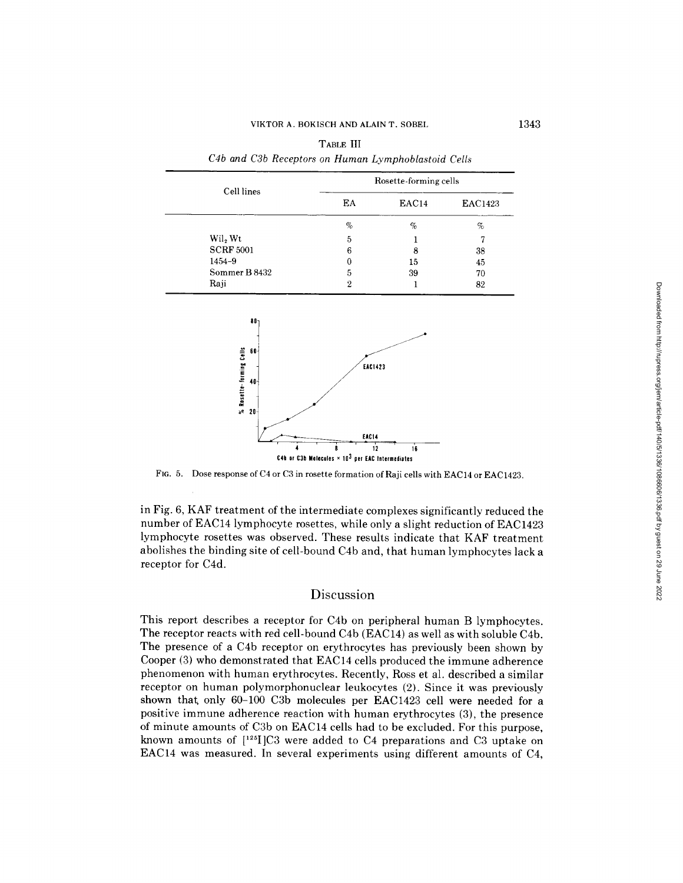| Cell lines                               |                 | Rosette-forming cells |                |  |
|------------------------------------------|-----------------|-----------------------|----------------|--|
|                                          | EA              | EAC14                 | EAC1423        |  |
|                                          | $\%$            | $\%$                  | $\%$           |  |
| Wil <sub>2</sub> Wt                      | 5               | 1                     | $\overline{7}$ |  |
| <b>SCRF 5001</b>                         | $6\phantom{1}6$ | 8                     | 38             |  |
| 1454-9                                   | $\bf{0}$        | 15                    | 45             |  |
| Sommer B 8432                            | 5               | 39                    | 70             |  |
| Raji                                     | $\overline{2}$  | 1                     | $82\,$         |  |
| 80 <sub>1</sub>                          |                 |                       |                |  |
| $60 -$                                   | EAC1423         |                       |                |  |
| % Rosette-forming Cells<br>$\frac{1}{2}$ | <b>EAC14</b>    |                       |                |  |

| TABLE III |  |  |  |  |  |                                                     |  |  |  |
|-----------|--|--|--|--|--|-----------------------------------------------------|--|--|--|
|           |  |  |  |  |  | C4b and C3b Receptors on Human Lymphoblastoid Cells |  |  |  |

FIG. 5. Dose response of C4 or C3 in rosette formation of Raji cells with EAC14 or EAC1423.

in Fig. 6, KAF treatment of the intermediate complexes significantly reduced the number of EAC14 lymphocyte rosettes, while only a slight reduction of EAC1423 lymphocyte rosettes was observed. These results indicate that KAF treatment abolishes the binding site of cell-bound C4b and, that human lymphocytes lack a receptor for C4d.

## **Discussion**

This report describes a receptor for C4b on peripheral human B lymphocytes. The receptor reacts with red cell-bound C4b (EAC14) as well as with soluble C4b. The presence of a C4b receptor on erythrocytes has previously been shown by Cooper (3) who demonstrated that EAC14 cells produced the immune adherence phenomenon with human erythrocytes. Recently, Ross et al. described a similar receptor on human polymorphonuclear leukocytes (2). Since it was previously shown that; only 60-100 C3b molecules per EAC1423 cell were needed for a positive immune adherence reaction with human erythrocytes (3), the presence of minute amounts of C3b on EAC14 cells had to be excluded. For this purpose, known amounts of ['25I]C3 were added to C4 preparations and C3 uptake on EAC14 was measured. In several experiments using different amounts of C4,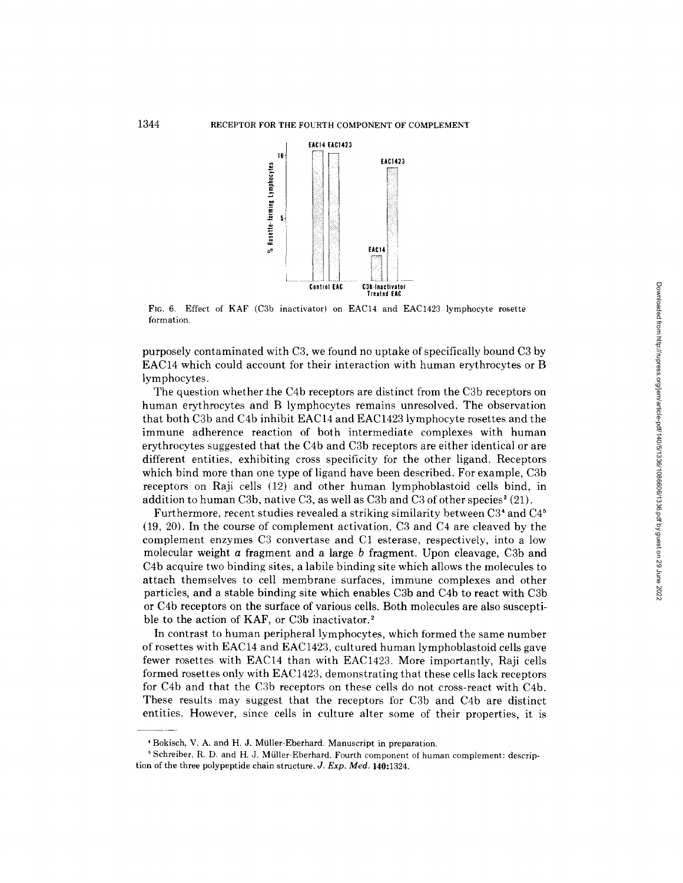

Fro. 6. Effect of KAF (C3b inactivator) on EAC14 and EAC1423 lymphocyte rosette formation.

purposely contaminated with C3, we found no uptake of specifically bound C3 by EAC14 which could account for their interaction with human erythrocytes or B lymphocytes.

The question whether the C4b receptors are distinct from the C3b receptors on human erythrocytes and B lymphocytes remains unresolved. The observation that both C3b and C4b inhibit EAC14 and EAC1423 lymphocyte rosettes and the immune adherence reaction of both intermediate complexes with human erythrocytes suggested that the C4b and C3b receptors are either identical or are different entities, exhibiting cross specificity for the other ligand. Receptors which bind more than one type of ligand have been described. For example, C3b receptors on Raji cells (12) and other human lymphoblastoid cells bind, in addition to human C3b, native C3, as well as C3b and C3 of other species<sup>3</sup> (21).

Furthermore, recent studies revealed a striking similarity between C3<sup>4</sup> and C4<sup>5</sup> (19, 20). In the course of complement activation, C3 and C4 are cleaved by the complement enzymes C3 convertase and C1 esterase, respectively, into a low molecular weight a fragment and a large b fragment. Upon cleavage, C3b and C4b acquire two binding sites, a labile binding site which allows the molecules to attach themselves to cell membrane surfaces, immune complexes and other particles, and a stable binding site which enables C3b and C4b to react with C3b or C4b receptors on the surface of various cells. Both molecules are also susceptible to the action of KAF, or C3b inactivator.<sup>2</sup>

In contrast to human peripheral lymphocytes, which formed the same number of rosettes with EAC14 and EAC1423, cultured human lymphoblastoid cells gave fewer rosettes with EAC14 than with EAC1423. More importantly, Raji cells formed rosettes only with EAC1423, demonstrating that these cells lack receptors for C4b and that the C3b receptors on these cells do not cross-react with C4b. These results may suggest that the receptors for C3b and C4b are distinct entities. However, since cells in culture alter some of their properties, it is

<sup>&#</sup>x27; Bokisch, V. A. and H. J. Mtiller-Eberhard. Manuscript in preparation.

<sup>&</sup>lt;sup>5</sup> Schreiber, R. D. and H. J. Müller-Eberhard. Fourth component of human complement: description of the three polypeptide chain structure. *J. Exp. Med.* 140:1324.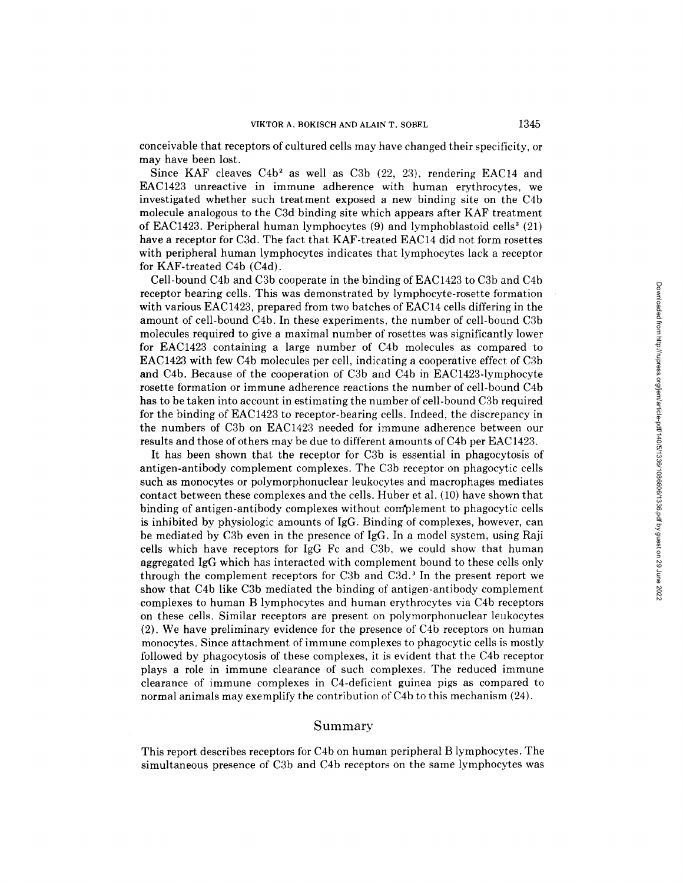conceivable that receptors of cultured cells may have changed their specificity, or may have been lost.

Since KAF cleaves  $C4b^2$  as well as  $C3b$  (22, 23), rendering EAC14 and EAC1423 unreactive in immune adherence with human erythrocytes, we investigated whether such treatment exposed a new binding site on the C4b molecule analogous to the C3d binding site which appears after KAF treatment of EAC1423. Peripheral human lymphocytes  $(9)$  and lymphoblastoid cells<sup>3</sup>  $(21)$ have a receptor for C3d. The fact that KAF-treated EAC14 did not form rosettes with peripheral human lymphocytes indicates that lymphocytes lack a receptor for KAF-treated C4b (C4d).

Cell-bound C4b and C3b cooperate in the binding of EAC1423 to C3b and C4b receptor bearing cells. This was demonstrated by lymphocyte-rosette formation with various EAC1423, prepared from two batches of EAC14 cells differing in the amount of cell-bound C4b. In these experiments, the number of cell-bound C3b molecules required to give a maximal number of rosettes was significantly lower for EAC1423 containing a large number of C4b molecules as compared to EAC1423 with few C4b molecules per cell, indicating a cooperative effect of C3b and C4b. Because of the cooperation of C3b and C4b in EAC1423-1ymphocyte rosette formation or immune adherence reactions the number of cell-bound C4b has to be taken into account in estimating the number of cell-bound C3b required for the binding of EAC1423 to receptor-bearing cells. Indeed, the discrepancy in the numbers of C3b on EAC1423 needed for immune adherence between our results and those of others may be due to different amounts of C4b per EAC1423.

It has been shown that the receptor for C3b is essential in phagocytosis of antigen-antibody complement complexes. The C3b receptor on phagocytic cells such as monocytes or polymorphonuclear leukocytes and macrophages mediates contact between these complexes and the cells. Huber et al. (10) have shown that binding of antigen-antibody complexes without complement to phagocytic cells is inhibited by physiologic amounts of IgG. Binding of complexes, however, can be mediated by C3b even in the presence of IgG. In a model system, using Raji cells which have receptors for IgG Fc and C3b, we could show that human aggregated IgG which has interacted with complement bound to these cells only through the complement receptors for C3b and C3d. 3 In the present report we show that C4b like C3b mediated the binding of antigen-antibody complement complexes to human B lymphocytes and human erythrocytes via C4b receptors on these cells. Similar receptors are present on polymorphonuclear leukocytes (2). We have preliminary evidence for the presence of C4b receptors on human monocytes. Since attachment of immune complexes to phagocytic cells is mostly followed by phagocytosis of these complexes, it is evident that the C4b receptor plays a role in immune clearance of such complexes. The reduced immune clearance of immune complexes in C4-deficient guinea pigs as compared to normal animals may exemplify the contribution of C4b to this mechanism (24).

### Summary

This report describes receptors for C4b on human peripheral B lymphocytes. The simultaneous presence of C3b and C4b receptors on the same lymphocytes was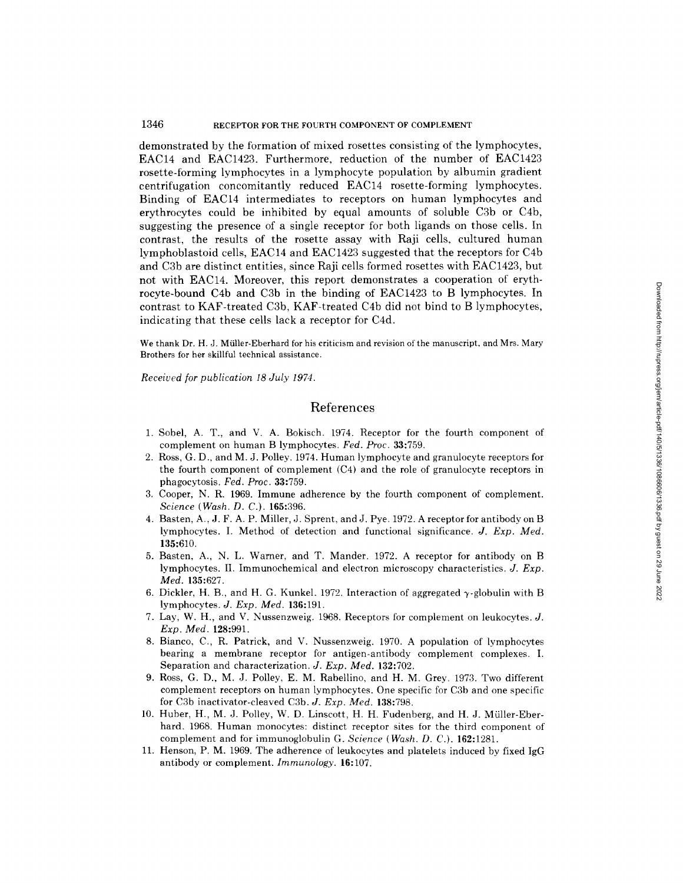#### 1346 RECEPTOR FOR THE FOURTH COMPONENT OF COMPLEMENT

demonstrated by the formation of mixed rosettes consisting of the lymphocytes, EAC14 and EAC1423. Furthermore, reduction of the number of EAC1423 rosette-forming lymphocytes in a lymphocyte population by albumin gradient centrifugation concomitantly reduced EAC14 rosette-fbrming lymphocytes. Binding of EAC14 intermediates to receptors on human lymphocytes and erythrocytes could be inhibited by equal amounts of soluble C3b or C4b, suggesting the presence of a single receptor for both ligands on those cells. In contrast, the results of the rosette assay with Raji cells, cultured human lymphoblastoid cells, EAC14 and EAC1423 suggested that the receptors for C4b and C3b are distinct entities, since Raji cells formed rosettes with EAC1423, but not with EAC14. Moreover, this report demonstrates a cooperation of erythrocyte-bound C4b and C3b in the binding of EAC1423 to B lymphocytes. In contrast to KAF-treated C3b, KAF-treated C4b did not bind to B lymphocytes, indicating that these cells lack a receptor for C4d.

We thank Dr. H. J. Müller-Eberhard for his criticism and revision of the manuscript, and Mrs. Mary Brothers for her skillful technical assistance.

*Received for publication I8 July 1974.* 

## **References**

- 1. Sobel, A. T., and V. A. Bokisch. 1974. Receptor for the fourth component of complement on human B lymphocytes. *Fed. Proc.* 33:759.
- 2. Ross, G. D., and M. J. Polley. 1974. Human lymphocyte and granulocyte receptors for the fourth component of complement (C4) and the role of granulocyte receptors in phagocytosis. *Fed. Proc.* 33:759.
- 3. Cooper, N. R. 1969. Immune adherence by the fourth component of complement. *Science (Wash. D. C.).* 165:396.
- 4. Basten, A., J. F. A. P. Miller, J. Sprent, and J. Pye. 1972. A receptor for antibody on B lymphocytes. I. Method of detection and functional significance. *J. Exp. Med.*  135:610.
- 5. Basten, A., N. L. Warner, and T. Mander. 1972. A receptor for antibody on B lymphocytes. II. Immunocbemical and electron microscopy characteristics. *J. Exp. Med.* 135:627.
- 6. Dickler, H. B., and H. G. Kunkel. 1972. Interaction of aggregated  $\gamma$ -globulin with B lymphocytes. *J. Exp. Med.* 136:191.
- 7. Lay, W. H., and V. Nussenzweig. 1968. Receptors for complement on leukocytes. J. *Exp. Med.* 128:991.
- 8. Bianco, C., R. Patrick, and V. Nussenzweig. 1970. A population of lymphocytes bearing a membrane receptor for antigen-antibody complement complexes. I. Separation and characterization. *J. Exp. Med.* 132:702.
- 9. Ross, G. D., M. J. Polley, E. M. Rabellino, and H. M. Grey. 1973. Two different complement receptors on human lymphocytes. One specific for C3b and one specific for C3b inactivator-cleaved C3b. *J. Exp. Med.* 138:798.
- 10. Huber, H., M. J. Polley, W. D. Linscott, H. H. Fudenberg, and H. J. Müller-Eberhard. 1968. Human monocytes: distinct receptor sites for the third component of complement and for immunoglobulin G. *Science (Wash. D. C.).* 162:1281.
- 11. Henson, P. M. 1969. The adherence of leukocytes and platelets induced by fixed IgG antibody or complement. *Immunology.* **16:107.**